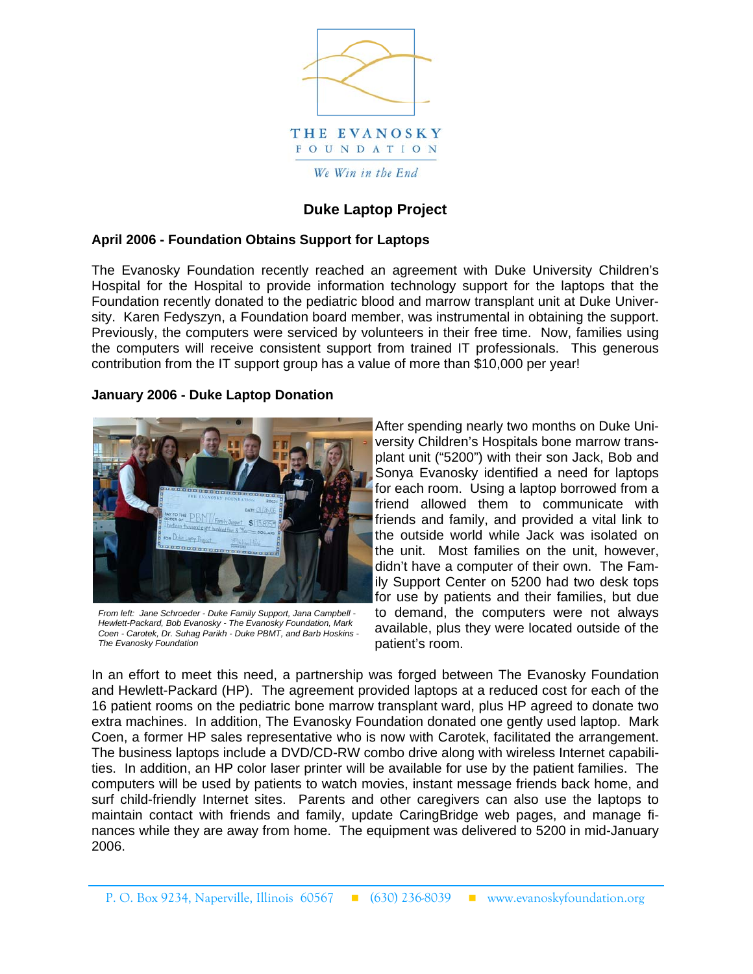

## **Duke Laptop Project**

## **April 2006 - Foundation Obtains Support for Laptops**

The Evanosky Foundation recently reached an agreement with Duke University Children's Hospital for the Hospital to provide information technology support for the laptops that the Foundation recently donated to the pediatric blood and marrow transplant unit at Duke University. Karen Fedyszyn, a Foundation board member, was instrumental in obtaining the support. Previously, the computers were serviced by volunteers in their free time. Now, families using the computers will receive consistent support from trained IT professionals. This generous contribution from the IT support group has a value of more than \$10,000 per year!

## **January 2006 - Duke Laptop Donation**



*From left: Jane Schroeder - Duke Family Support, Jana Campbell - Hewlett-Packard, Bob Evanosky - The Evanosky Foundation, Mark Coen - Carotek, Dr. Suhag Parikh - Duke PBMT, and Barb Hoskins - The Evanosky Foundation* 

After spending nearly two months on Duke University Children's Hospitals bone marrow transplant unit ("5200") with their son Jack, Bob and Sonya Evanosky identified a need for laptops for each room. Using a laptop borrowed from a friend allowed them to communicate with friends and family, and provided a vital link to the outside world while Jack was isolated on the unit. Most families on the unit, however, didn't have a computer of their own. The Family Support Center on 5200 had two desk tops for use by patients and their families, but due to demand, the computers were not always available, plus they were located outside of the patient's room.

In an effort to meet this need, a partnership was forged between The Evanosky Foundation and Hewlett-Packard (HP). The agreement provided laptops at a reduced cost for each of the 16 patient rooms on the pediatric bone marrow transplant ward, plus HP agreed to donate two extra machines. In addition, The Evanosky Foundation donated one gently used laptop. Mark Coen, a former HP sales representative who is now with Carotek, facilitated the arrangement. The business laptops include a DVD/CD-RW combo drive along with wireless Internet capabilities. In addition, an HP color laser printer will be available for use by the patient families. The computers will be used by patients to watch movies, instant message friends back home, and surf child-friendly Internet sites. Parents and other caregivers can also use the laptops to maintain contact with friends and family, update CaringBridge web pages, and manage finances while they are away from home. The equipment was delivered to 5200 in mid-January 2006.